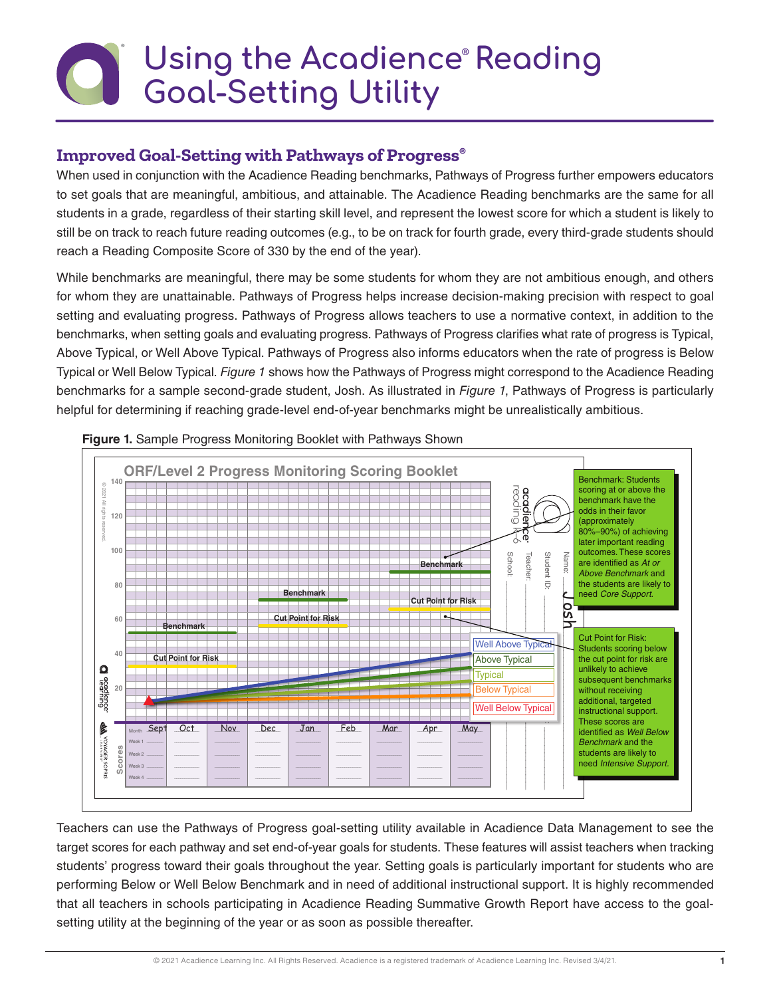# **Using the Acadience® Reading Goal-Setting Utility**

## **Improved Goal-Setting with Pathways of Progress®**

When used in conjunction with the Acadience Reading benchmarks, Pathways of Progress further empowers educators to set goals that are meaningful, ambitious, and attainable. The Acadience Reading benchmarks are the same for all students in a grade, regardless of their starting skill level, and represent the lowest score for which a student is likely to still be on track to reach future reading outcomes (e.g., to be on track for fourth grade, every third-grade students should reach a Reading Composite Score of 330 by the end of the year).

While benchmarks are meaningful, there may be some students for whom they are not ambitious enough, and others for whom they are unattainable. Pathways of Progress helps increase decision-making precision with respect to goal setting and evaluating progress. Pathways of Progress allows teachers to use a normative context, in addition to the benchmarks, when setting goals and evaluating progress. Pathways of Progress clarifies what rate of progress is Typical, Above Typical, or Well Above Typical. Pathways of Progress also informs educators when the rate of progress is Below Typical or Well Below Typical. *Figure 1* shows how the Pathways of Progress might correspond to the Acadience Reading benchmarks for a sample second-grade student, Josh. As illustrated in *Figure 1*, Pathways of Progress is particularly helpful for determining if reaching grade-level end-of-year benchmarks might be unrealistically ambitious.





Teachers can use the Pathways of Progress goal-setting utility available in Acadience Data Management to see the target scores for each pathway and set end-of-year goals for students. These features will assist teachers when tracking students' progress toward their goals throughout the year. Setting goals is particularly important for students who are performing Below or Well Below Benchmark and in need of additional instructional support. It is highly recommended that all teachers in schools participating in Acadience Reading Summative Growth Report have access to the goalsetting utility at the beginning of the year or as soon as possible thereafter.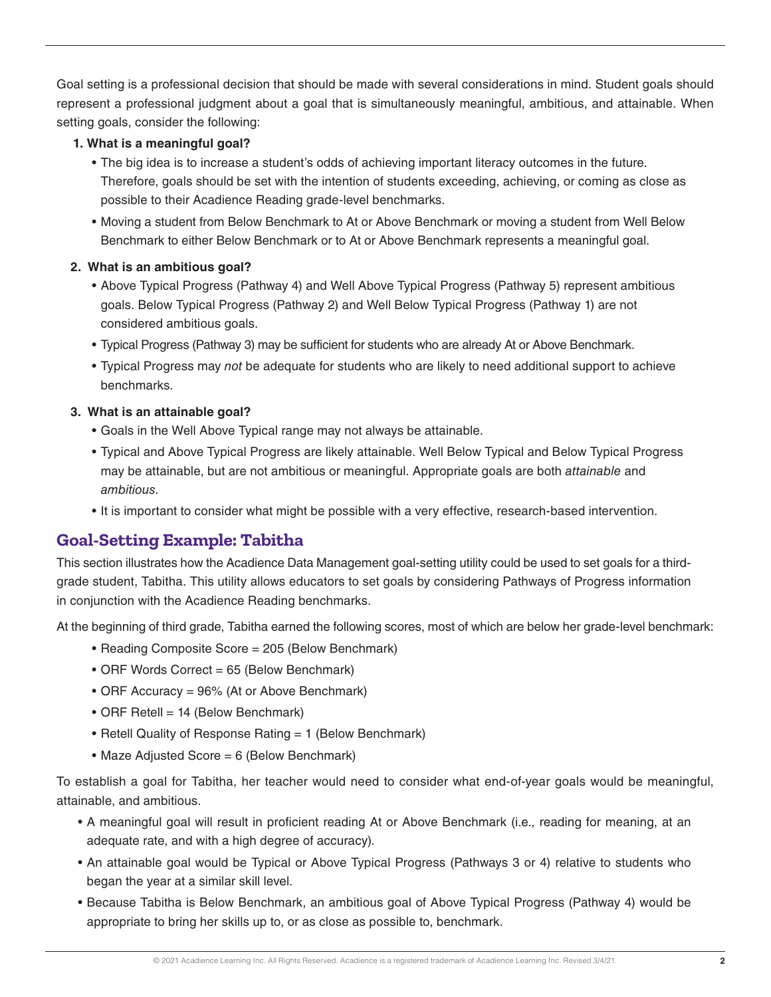Goal setting is a professional decision that should be made with several considerations in mind. Student goals should represent a professional judgment about a goal that is simultaneously meaningful, ambitious, and attainable. When setting goals, consider the following:

#### **1. What is a meaningful goal?**

- The big idea is to increase a student's odds of achieving important literacy outcomes in the future. Therefore, goals should be set with the intention of students exceeding, achieving, or coming as close as possible to their Acadience Reading grade-level benchmarks.
- Moving a student from Below Benchmark to At or Above Benchmark or moving a student from Well Below Benchmark to either Below Benchmark or to At or Above Benchmark represents a meaningful goal.

#### **2. What is an ambitious goal?**

- Above Typical Progress (Pathway 4) and Well Above Typical Progress (Pathway 5) represent ambitious goals. Below Typical Progress (Pathway 2) and Well Below Typical Progress (Pathway 1) are not considered ambitious goals.
- Typical Progress (Pathway 3) may be sufficient for students who are already At or Above Benchmark.
- Typical Progress may *not* be adequate for students who are likely to need additional support to achieve benchmarks.

#### **3. What is an attainable goal?**

- Goals in the Well Above Typical range may not always be attainable.
- Typical and Above Typical Progress are likely attainable. Well Below Typical and Below Typical Progress may be attainable, but are not ambitious or meaningful. Appropriate goals are both *attainable* and *ambitious*.
- It is important to consider what might be possible with a very effective, research-based intervention.

### **Goal-Setting Example: Tabitha**

This section illustrates how the Acadience Data Management goal-setting utility could be used to set goals for a thirdgrade student, Tabitha. This utility allows educators to set goals by considering Pathways of Progress information in conjunction with the Acadience Reading benchmarks.

At the beginning of third grade, Tabitha earned the following scores, most of which are below her grade-level benchmark:

- Reading Composite Score = 205 (Below Benchmark)
- ORF Words Correct = 65 (Below Benchmark)
- ORF Accuracy = 96% (At or Above Benchmark)
- ORF Retell = 14 (Below Benchmark)
- Retell Quality of Response Rating = 1 (Below Benchmark)
- Maze Adjusted Score = 6 (Below Benchmark)

To establish a goal for Tabitha, her teacher would need to consider what end-of-year goals would be meaningful, attainable, and ambitious.

- A meaningful goal will result in proficient reading At or Above Benchmark (i.e., reading for meaning, at an adequate rate, and with a high degree of accuracy).
- An attainable goal would be Typical or Above Typical Progress (Pathways 3 or 4) relative to students who began the year at a similar skill level.
- Because Tabitha is Below Benchmark, an ambitious goal of Above Typical Progress (Pathway 4) would be appropriate to bring her skills up to, or as close as possible to, benchmark.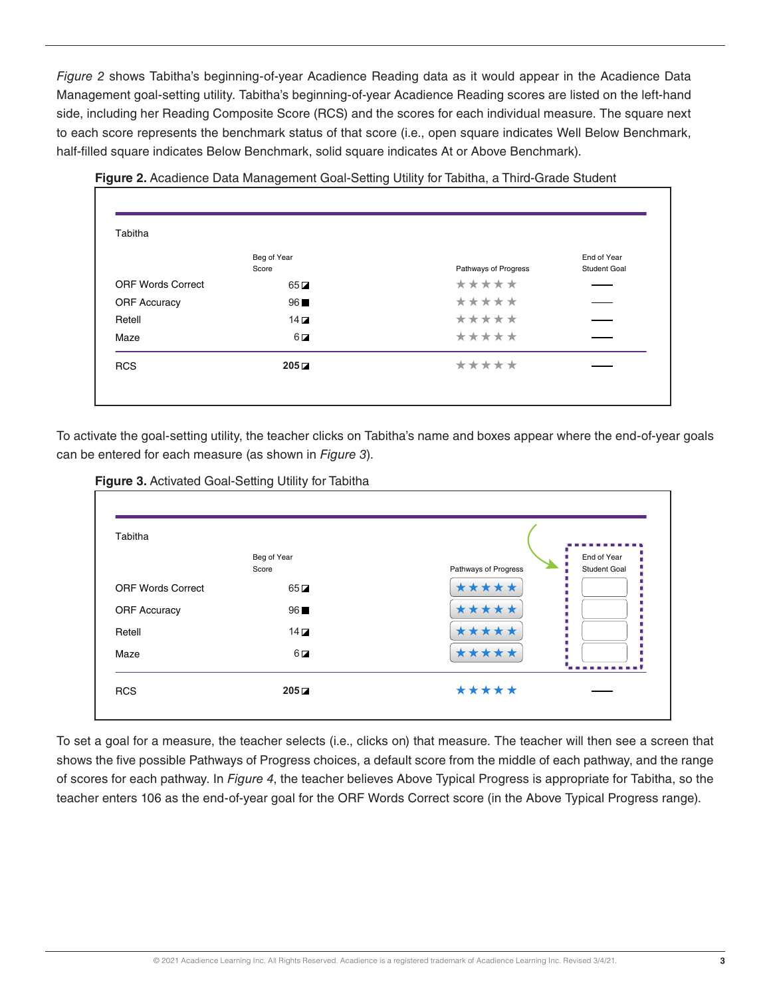*Figure 2* shows Tabitha's beginning-of-year Acadience Reading data as it would appear in the Acadience Data Management goal-setting utility. Tabitha's beginning-of-year Acadience Reading scores are listed on the left-hand side, including her Reading Composite Score (RCS) and the scores for each individual measure. The square next to each score represents the benchmark status of that score (i.e., open square indicates Well Below Benchmark, half-filled square indicates Below Benchmark, solid square indicates At or Above Benchmark).

| Tabitha                  |           |                      |              |
|--------------------------|-----------|----------------------|--------------|
| Beg of Year              |           |                      | End of Year  |
| Score                    |           | Pathways of Progress | Student Goal |
| <b>ORF Words Correct</b> | $65\Box$  | *****                |              |
| <b>ORF Accuracy</b>      | 96        | *****                |              |
| Retell                   | $14\Box$  | *****                |              |
| Maze                     | $6\Box$   | *****                |              |
| <b>RCS</b>               | $205\Box$ | *****                |              |

**Figure 2.** Acadience Data Management Goal-Setting Utility for Tabitha, a Third-Grade Student

To activate the goal-setting utility, the teacher clicks on Tabitha's name and boxes appear where the end-of-year goals can be entered for each measure (as shown in *Figure 3*).





To set a goal for a measure, the teacher selects (i.e., clicks on) that measure. The teacher will then see a screen that shows the five possible Pathways of Progress choices, a default score from the middle of each pathway, and the range of scores for each pathway. In *Figure 4*, the teacher believes Above Typical Progress is appropriate for Tabitha, so the teacher enters 106 as the end-of-year goal for the ORF Words Correct score (in the Above Typical Progress range).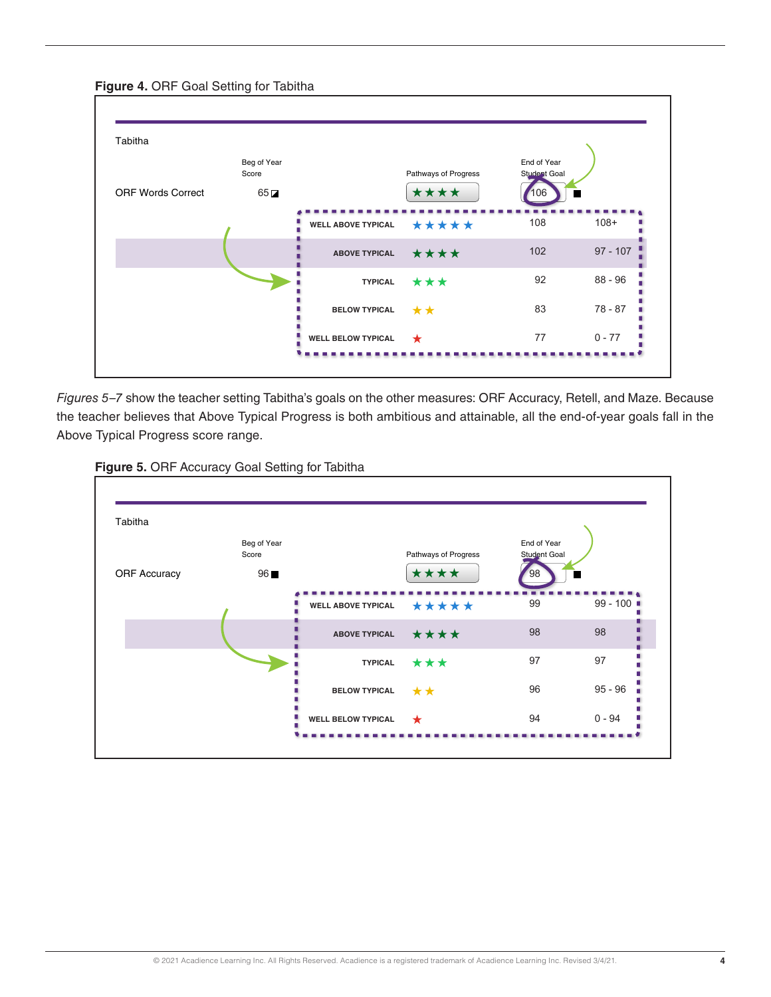#### **Figure 4.** ORF Goal Setting for Tabitha



*Figures 5–7* show the teacher setting Tabitha's goals on the other measures: ORF Accuracy, Retell, and Maze. Because the teacher believes that Above Typical Progress is both ambitious and attainable, all the end-of-year goals fall in the Above Typical Progress score range.



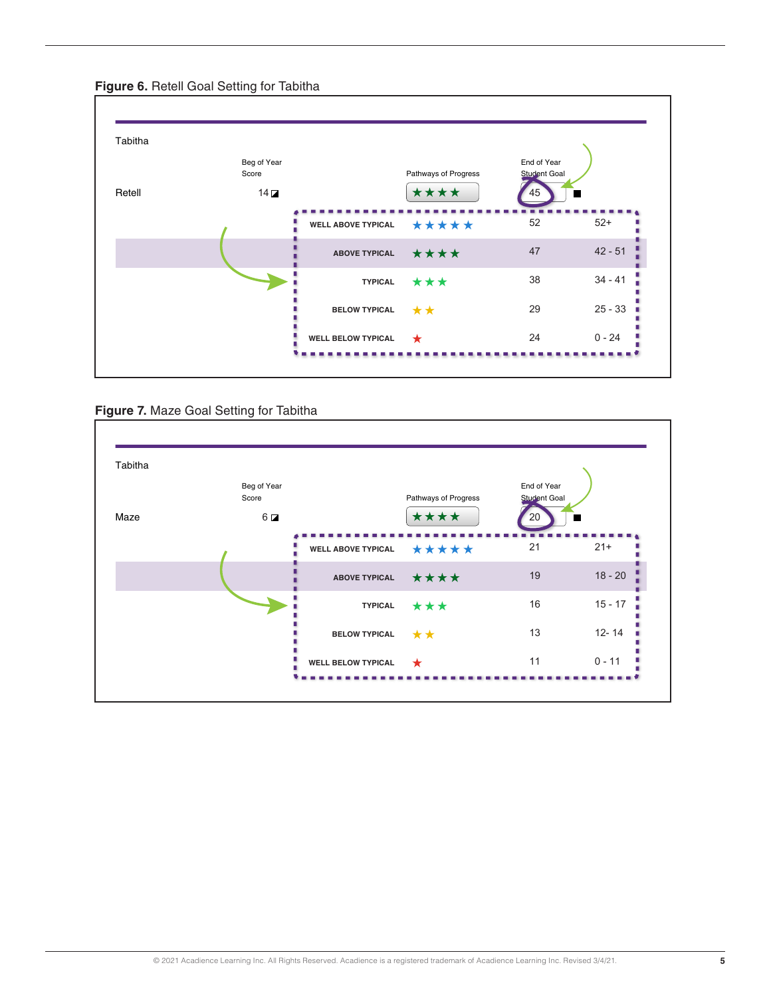

#### **Figure 6.** Retell Goal Setting for Tabitha



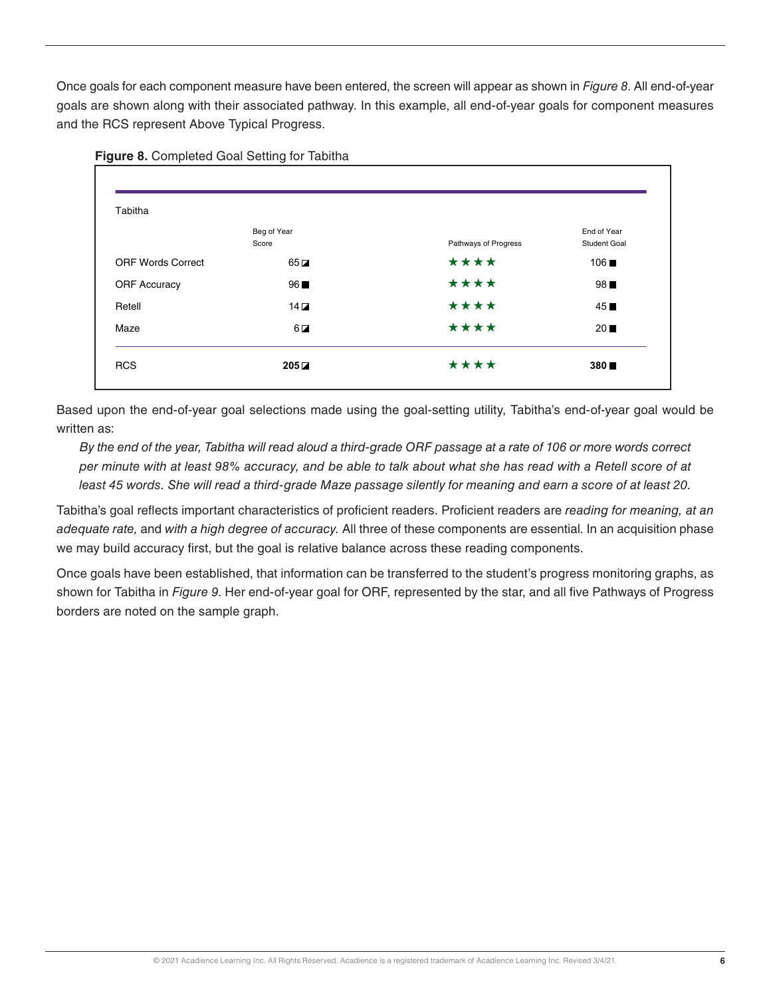Once goals for each component measure have been entered, the screen will appear as shown in *Figure 8*. All end-of-year goals are shown along with their associated pathway. In this example, all end-of-year goals for component measures and the RCS represent Above Typical Progress.



#### **Figure 8.** Completed Goal Setting for Tabitha

Based upon the end-of-year goal selections made using the goal-setting utility, Tabitha's end-of-year goal would be written as:

*By the end of the year, Tabitha will read aloud a third-grade ORF passage at a rate of 106 or more words correct per minute with at least 98% accuracy, and be able to talk about what she has read with a Retell score of at least 45 words. She will read a third-grade Maze passage silently for meaning and earn a score of at least 20.*

Tabitha's goal reflects important characteristics of proficient readers. Proficient readers are *reading for meaning, at an adequate rate,* and *with a high degree of accuracy.* All three of these components are essential. In an acquisition phase we may build accuracy first, but the goal is relative balance across these reading components.

Once goals have been established, that information can be transferred to the student's progress monitoring graphs, as shown for Tabitha in *Figure 9*. Her end-of-year goal for ORF, represented by the star, and all five Pathways of Progress borders are noted on the sample graph.